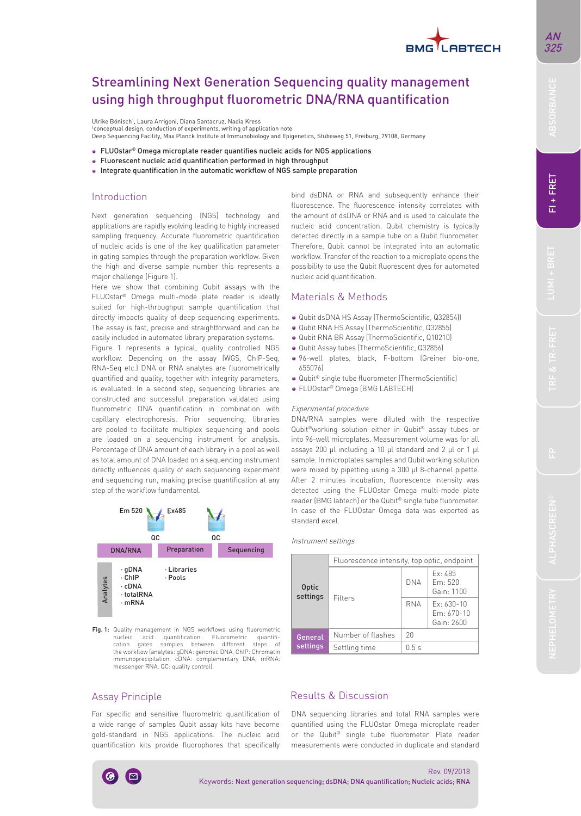# **BMG** LABTECH

# Streamlining Next Generation Sequencing quality management using high throughput fluorometric DNA/RNA quantification

Ulrike Bönisch', Laura Arrigoni, Diana Santacruz, Nadia Kress<br>'conceptual design, conduction of experiments, writing of application note

Deep Sequencing Facility, Max Planck Institute of Immunobiology and Epigenetics, Stübeweg 51, Freiburg, 79108, Germany

- FLUOstar® Omega microplate reader quantifies nucleic acids for NGS applications
- Fluorescent nucleic acid quantification performed in high throughput
- Integrate quantification in the automatic workflow of NGS sample preparation

# Introduction

Next generation sequencing (NGS) technology and applications are rapidly evolving leading to highly increased sampling frequency. Accurate fluorometric quantification of nucleic acids is one of the key qualification parameter in gating samples through the preparation workflow. Given the high and diverse sample number this represents a major challenge (Figure 1).

Here we show that combining Qubit assays with the FLUOstar® Omega multi-mode plate reader is ideally suited for high-throughput sample quantification that directly impacts quality of deep sequencing experiments. The assay is fast, precise and straightforward and can be easily included in automated library preparation systems. Figure 1 represents a typical, quality controlled NGS workflow. Depending on the assay (WGS, ChIP-Seq, RNA-Seq etc.) DNA or RNA analytes are fluorometrically quantified and quality, together with integrity parameters, is evaluated. In a second step, sequencing libraries are constructed and successful preparation validated using fluorometric DNA quantification in combination with capillary electrophoresis. Prior sequencing, libraries are pooled to facilitate multiplex sequencing and pools are loaded on a sequencing instrument for analysis. Percentage of DNA amount of each library in a pool as well as total amount of DNA loaded on a sequencing instrument directly influences quality of each sequencing experiment and sequencing run, making precise quantification at any step of the workflow fundamental.



Fig. 1: Quality management in NGS workflows using fluorometric nucleic acid quantification. Fluorometric quantifi-<br>cation gates samples between different steps of gates samples between different the workflow (analytes: gDNA: genomic DNA, ChIP: Chromatin immunoprecipitation, cDNA: complementary DNA, mRNA: messenger RNA, QC: quality control).

bind dsDNA or RNA and subsequently enhance their fluorescence. The fluorescence intensity correlates with the amount of dsDNA or RNA and is used to calculate the nucleic acid concentration. Qubit chemistry is typically detected directly in a sample tube on a Qubit fluorometer. Therefore, Qubit cannot be integrated into an automatic workflow. Transfer of the reaction to a microplate opens the possibility to use the Qubit fluorescent dyes for automated nucleic acid quantification.

# Materials & Methods

- · Qubit dsDNA HS Assay (ThermoScientific, Q32854))
- $\bullet$  Qubit RNA HS Assay (ThermoScientific, Q32855)
- . Qubit RNA BR Assay (ThermoScientific, Q10210)
- · Qubit Assay tubes (ThermoScientific, Q32856)
- 96-well plates, black, F-bottom (Greiner bio-one, 655076)
- Qubit<sup>®</sup> single tube fluorometer (ThermoScientific)
- FLUOstar® Omega (BMG LABTECH)

#### Experimental procedure

DNA/RNA samples were diluted with the respective Qubit®working solution either in Qubit® assay tubes or into 96-well microplates. Measurement volume was for all assays 200 µl including a 10 µl standard and 2 µl or 1 µl sample. In microplates samples and Qubit working solution were mixed by pipetting using a 300 µl 8-channel pipette. After 2 minutes incubation, fluorescence intensity was detected using the FLUOstar Omega multi-mode plate reader (BMG labtech) or the Qubit® single tube fluorometer. In case of the FLUOstar Omega data was exported as standard excel.

#### Instrument settings

| Optic<br>settings   | Fluorescence intensity, top optic, endpoint |            |                                            |
|---------------------|---------------------------------------------|------------|--------------------------------------------|
|                     | Filters                                     | <b>DNA</b> | Fx: 485<br>Fm: 520<br>Gain: 1100           |
|                     |                                             | <b>RNA</b> | $Fx: 630-10$<br>$Fm: 670-10$<br>Gain: 2600 |
| General<br>settings | Number of flashes                           | 20         |                                            |
|                     | Settling time                               | 0.5s       |                                            |

### Assay Principle

For specific and sensitive fluorometric quantification of a wide range of samples Qubit assay kits have become gold-standard in NGS applications. The nucleic acid quantification kits provide fluorophores that specifically DNA sequencing libraries and total RNA samples were quantified using the FLUOstar Omega microplate reader or the Qubit® single tube fluorometer. Plate reader measurements were conducted in duplicate and standard FI+FRET